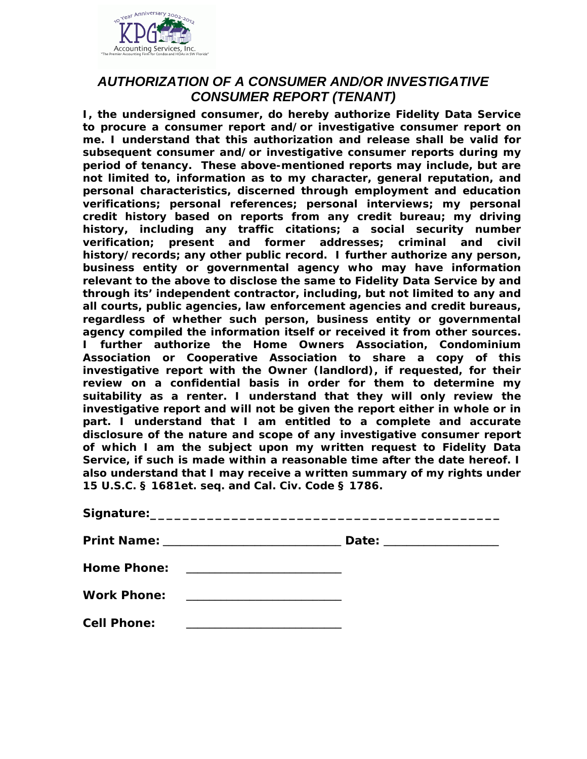

## *AUTHORIZATION OF A CONSUMER AND/OR INVESTIGATIVE CONSUMER REPORT (TENANT)*

**I, the undersigned consumer, do hereby authorize Fidelity Data Service to procure a consumer report and/or investigative consumer report on me. I understand that this authorization and release shall be valid for subsequent consumer and/or investigative consumer reports during my period of tenancy. These above-mentioned reports may include, but are not limited to, information as to my character, general reputation, and personal characteristics, discerned through employment and education verifications; personal references; personal interviews; my personal credit history based on reports from any credit bureau; my driving history, including any traffic citations; a social security number verification; present and former addresses; criminal and civil history/records; any other public record. I further authorize any person, business entity or governmental agency who may have information relevant to the above to disclose the same to Fidelity Data Service by and through its' independent contractor, including, but not limited to any and all courts, public agencies, law enforcement agencies and credit bureaus, regardless of whether such person, business entity or governmental agency compiled the information itself or received it from other sources. I further authorize the Home Owners Association, Condominium Association or Cooperative Association to share a copy of this investigative report with the Owner (landlord), if requested, for their review on a confidential basis in order for them to determine my suitability as a renter. I understand that they will only review the investigative report and will not be given the report either in whole or in part. I understand that I am entitled to a complete and accurate disclosure of the nature and scope of any investigative consumer report of which I am the subject upon my written request to Fidelity Data Service, if such is made within a reasonable time after the date hereof. I also understand that I may receive a written summary of my rights under 15 U.S.C. § 1681et. seq. and Cal. Civ. Code § 1786.** 

|                    | Date: __________________ |  |
|--------------------|--------------------------|--|
| <b>Home Phone:</b> |                          |  |
| <b>Work Phone:</b> |                          |  |
| <b>Cell Phone:</b> |                          |  |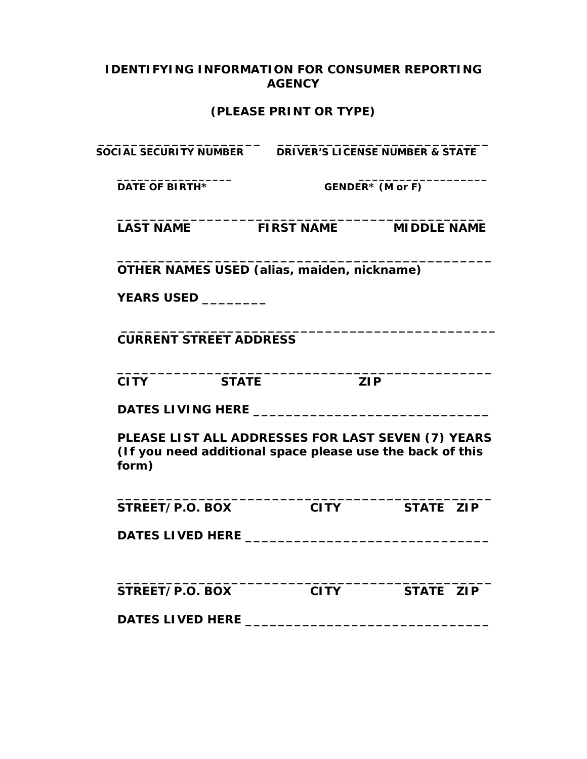## **IDENTIFYING INFORMATION FOR CONSUMER REPORTING AGENCY**

## **(PLEASE PRINT OR TYPE)**

| <b>SOCIAL SECURITY NUMBER</b>                                                                                            |                   | <b>DRIVER'S LICENSE NUMBER &amp; STATE</b> |
|--------------------------------------------------------------------------------------------------------------------------|-------------------|--------------------------------------------|
| <b>DATE OF BIRTH*</b>                                                                                                    | GENDER* (M or F)  |                                            |
| <b>LAST NAME</b>                                                                                                         | <b>FIRST NAME</b> | <b>MIDDLE NAME</b>                         |
| OTHER NAMES USED (alias, maiden, nickname)                                                                               |                   |                                            |
| <b>YEARS USED __________</b>                                                                                             |                   |                                            |
| <b>CURRENT STREET ADDRESS</b>                                                                                            |                   |                                            |
| <b>CITY</b><br><b>STATE</b>                                                                                              |                   | <b>ZIP</b>                                 |
|                                                                                                                          |                   |                                            |
| PLEASE LIST ALL ADDRESSES FOR LAST SEVEN (7) YEARS<br>(If you need additional space please use the back of this<br>form) |                   |                                            |
| STREET/P.O. BOX                                                                                                          | <b>CITY</b>       | STATE ZIP                                  |
|                                                                                                                          |                   |                                            |
|                                                                                                                          |                   |                                            |
| STREET/P.O. BOX                                                                                                          | <b>CITY</b>       | STATE ZIP                                  |